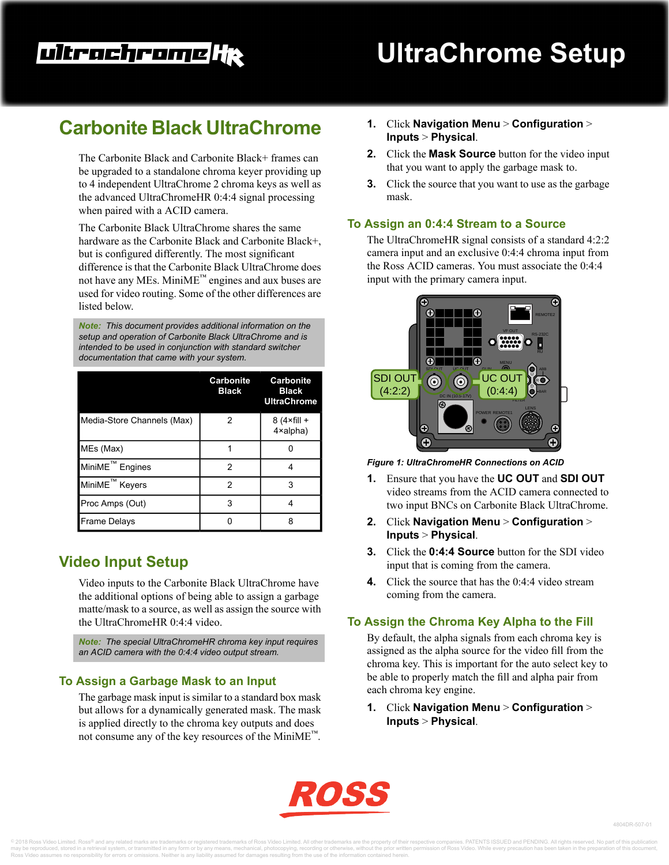# ultrachrome Hx

# **UltraChrome Setup**

## **Carbonite Black UltraChrome**

The Carbonite Black and Carbonite Black+ frames can be upgraded to a standalone chroma keyer providing up to 4 independent UltraChrome 2 chroma keys as well as the advanced UltraChromeHR 0:4:4 signal processing when paired with a ACID camera.

The Carbonite Black UltraChrome shares the same hardware as the Carbonite Black and Carbonite Black+, but is configured differently. The most significant difference is that the Carbonite Black UltraChrome does not have any MEs. MiniME™ engines and aux buses are used for video routing. Some of the other differences are listed below.

*Note: This document provides additional information on the setup and operation of Carbonite Black UltraChrome and is intended to be used in conjunction with standard switcher documentation that came with your system.*

|                             | <b>Carbonite</b><br><b>Black</b> | <b>Carbonite</b><br><b>Black</b><br><b>UltraChrome</b> |
|-----------------------------|----------------------------------|--------------------------------------------------------|
| Media-Store Channels (Max)  | 2                                | $8(4 \times \text{fill} +$<br>4×alpha)                 |
| MEs (Max)                   |                                  |                                                        |
| MiniME <sup>™</sup> Engines | $\mathfrak{p}$                   | 4                                                      |
| MiniME <sup>™</sup> Keyers  | 2                                | 3                                                      |
| Proc Amps (Out)             | 3                                | 4                                                      |
| <b>Frame Delays</b>         |                                  | ጸ                                                      |

## **Video Input Setup**

Video inputs to the Carbonite Black UltraChrome have the additional options of being able to assign a garbage matte/mask to a source, as well as assign the source with the UltraChromeHR 0:4:4 video.

*Note: The special UltraChromeHR chroma key input requires an ACID camera with the 0:4:4 video output stream.*

## **To Assign a Garbage Mask to an Input**

The garbage mask input is similar to a standard box mask but allows for a dynamically generated mask. The mask is applied directly to the chroma key outputs and does not consume any of the key resources of the MiniME™.

- **1.** Click **Navigation Menu** > **Configuration** > **Inputs** > **Physical**.
- **2.** Click the **Mask Source** button for the video input that you want to apply the garbage mask to.
- **3.** Click the source that you want to use as the garbage mask.

#### <span id="page-0-0"></span>**To Assign an 0:4:4 Stream to a Source**

The UltraChromeHR signal consists of a standard 4:2:2 camera input and an exclusive 0:4:4 chroma input from the Ross ACID cameras. You must associate the 0:4:4 input with the primary camera input.



*Figure 1: UltraChromeHR Connections on ACID*

- **1.** Ensure that you have the **UC OUT** and **SDI OUT** video streams from the ACID camera connected to two input BNCs on Carbonite Black UltraChrome.
- **2.** Click **Navigation Menu** > **Configuration** > **Inputs** > **Physical**.
- **3.** Click the **0:4:4 Source** button for the SDI video input that is coming from the camera.
- **4.** Click the source that has the 0:4:4 video stream coming from the camera.

## **To Assign the Chroma Key Alpha to the Fill**

By default, the alpha signals from each chroma key is assigned as the alpha source for the video fill from the chroma key. This is important for the auto select key to be able to properly match the fill and alpha pair from each chroma key engine.

**1.** Click **Navigation Menu** > **Configuration** > **Inputs** > **Physical**.



© 2018 Ross Video Limited. Ross® and any related marks are trademarks or registered trademarks of Ross Video Limited. All other trademarks are the property of their respective companies. PATENTS ISSUED and PENDING. All rig reproduced, stored in a retrieval system, or transmitted in any form or by any means, mechanical, photocopying, recording or otherwise, without the prior written permission of Ross Video. While every precaution has been ta eibility for errors or omissions. Neither is any liability assumed for damages resulting from the use of the information contained herein.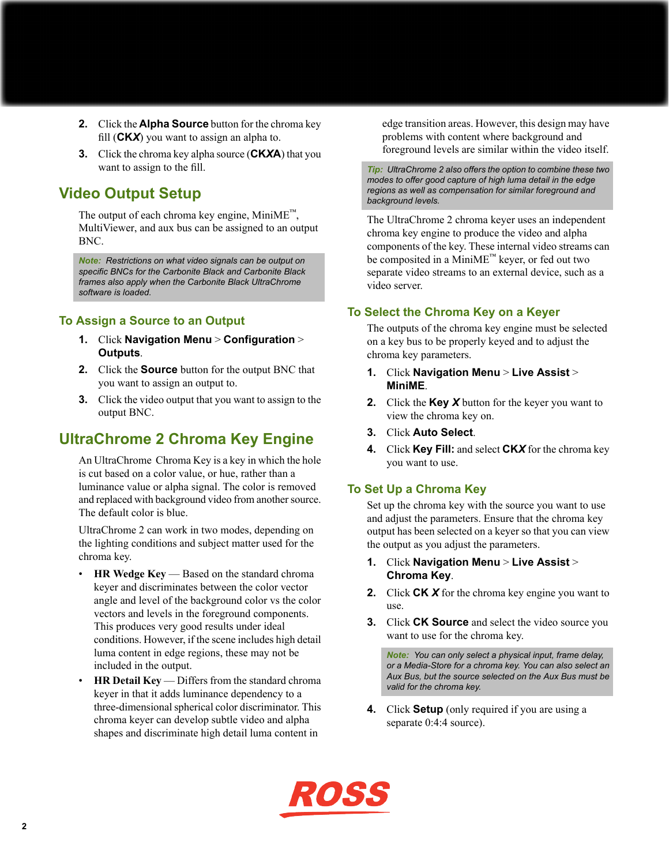- **2.** Click the **Alpha Source**button for the chroma key fill (**CK***X*) you want to assign an alpha to.
- **3.** Click the chroma key alpha source (**CK***X***A**) that you want to assign to the fill.

## **Video Output Setup**

The output of each chroma key engine, Mini $ME^m$ , MultiViewer, and aux bus can be assigned to an output BNC.

*Note: Restrictions on what video signals can be output on specific BNCs for the Carbonite Black and Carbonite Black frames also apply when the Carbonite Black UltraChrome software is loaded.*

## **To Assign a Source to an Output**

- **1.** Click **Navigation Menu** > **Configuration** > **Outputs**.
- **2.** Click the **Source** button for the output BNC that you want to assign an output to.
- **3.** Click the video output that you want to assign to the output BNC.

## **UltraChrome 2 Chroma Key Engine**

An UltraChrome Chroma Key is a key in which the hole is cut based on a color value, or hue, rather than a luminance value or alpha signal. The color is removed and replaced with background video from another source. The default color is blue.

UltraChrome 2 can work in two modes, depending on the lighting conditions and subject matter used for the chroma key.

- **HR Wedge Key** Based on the standard chroma keyer and discriminates between the color vector angle and level of the background color vs the color vectors and levels in the foreground components. This produces very good results under ideal conditions. However, if the scene includes high detail luma content in edge regions, these may not be included in the output.
- **HR Detail Key** Differs from the standard chroma keyer in that it adds luminance dependency to a three-dimensional spherical color discriminator. This chroma keyer can develop subtle video and alpha shapes and discriminate high detail luma content in

edge transition areas. However, this design may have problems with content where background and foreground levels are similar within the video itself.

*Tip: UltraChrome 2 also offers the option to combine these two modes to offer good capture of high luma detail in the edge regions as well as compensation for similar foreground and background levels.*

The UltraChrome 2 chroma keyer uses an independent chroma key engine to produce the video and alpha components of the key. These internal video streams can be composited in a MiniME™ keyer, or fed out two separate video streams to an external device, such as a video server.

## **To Select the Chroma Key on a Keyer**

The outputs of the chroma key engine must be selected on a key bus to be properly keyed and to adjust the chroma key parameters.

- **1.** Click **Navigation Menu** > **Live Assist** > **MiniME**.
- **2.** Click the **Key** *X* button for the keyer you want to view the chroma key on.
- **3.** Click **Auto Select**.
- **4.** Click **Key Fill:** and select **CK***X* for the chroma key you want to use.

## **To Set Up a Chroma Key**

Set up the chroma key with the source you want to use and adjust the parameters. Ensure that the chroma key output has been selected on a keyer so that you can view the output as you adjust the parameters.

- **1.** Click **Navigation Menu** > **Live Assist** > **Chroma Key**.
- **2.** Click **CK** *X* for the chroma key engine you want to use.
- **3.** Click **CK Source** and select the video source you want to use for the chroma key.

*Note: You can only select a physical input, frame delay, or a Media-Store for a chroma key. You can also select an Aux Bus, but the source selected on the Aux Bus must be valid for the chroma key.*

**4.** Click **Setup** (only required if you are using a separate 0:4:4 source).

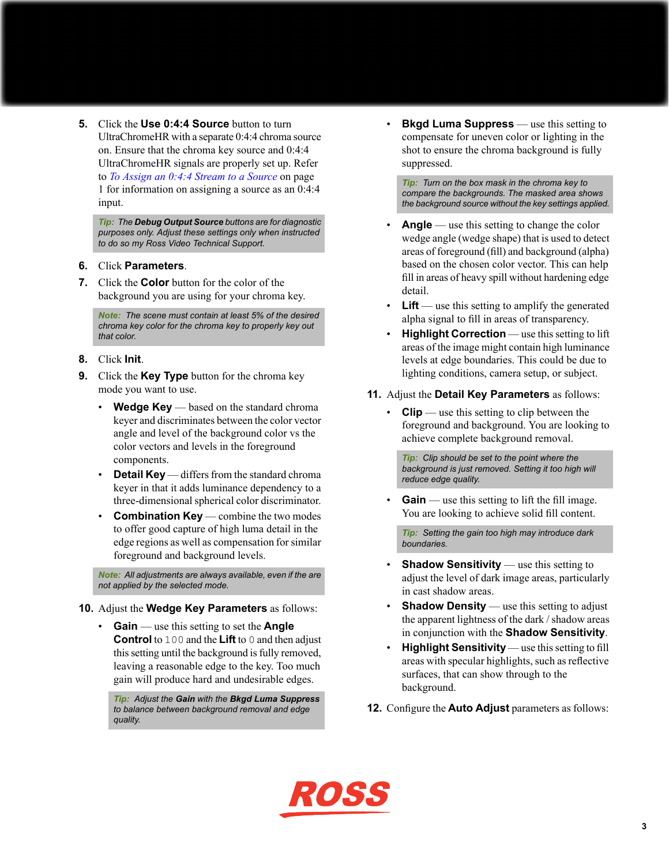**5.** Click the **Use 0:4:4 Source** button to turn UltraChromeHR with a separate 0:4:4 chroma source on. Ensure that the chroma key source and 0:4:4 UltraChromeHR signals are properly set up. Refer to *To Assign an 0:4:4 [Stream](#page-0-0) to a Source* on page 1 for information on assigning a source as an 0:4:4 input.

*Tip: The Debug Output Source buttons are for diagnostic purposes only. Adjust these settings only when instructed to do so my Ross Video Technical Support.*

#### **6.** Click **Parameters**.

**7.** Click the **Color** button for the color of the background you are using for your chroma key.

*Note: The scene must contain at least 5% of the desired chroma key color for the chroma key to properly key out that color.*

- **8.** Click **Init**.
- **9.** Click the **Key Type** button for the chroma key mode you want to use.
	- **Wedge Key** based on the standard chroma keyer and discriminates between the color vector angle and level of the background color vs the color vectors and levels in the foreground components.
	- **Detail Key** differs from the standard chroma keyer in that it adds luminance dependency to a three-dimensional spherical color discriminator.
	- **Combination Key** combine the two modes to offer good capture of high luma detail in the edge regions as well as compensation forsimilar foreground and background levels.

*Note: All adjustments are always available, even if the are not applied by the selected mode.*

- **10.** Adjust the **Wedge Key Parameters** as follows:
	- **Gain** use this setting to set the **Angle Control** to 100 and the **Lift** to 0 and then adjust this setting until the background is fully removed, leaving a reasonable edge to the key. Too much gain will produce hard and undesirable edges.

*Tip: Adjust the Gain with the Bkgd Luma Suppress to balance between background removal and edge quality.*

• **Bkgd Luma Suppress** — use this setting to compensate for uneven color or lighting in the shot to ensure the chroma background is fully suppressed.

*Tip: Turn on the box mask in the chroma key to compare the backgrounds. The masked area shows the background source without the key settings applied.*

- **Angle** use this setting to change the color wedge angle (wedge shape) that is used to detect areas of foreground (fill) and background (alpha) based on the chosen color vector. This can help fill in areas of heavy spill without hardening edge detail.
- **Lift** use this setting to amplify the generated alpha signal to fill in areas of transparency.
- **Highlight Correction** use this setting to lift areas of the image might contain high luminance levels at edge boundaries. This could be due to lighting conditions, camera setup, or subject.
- **11.** Adjust the **Detail Key Parameters** as follows:
	- **Clip** use this setting to clip between the foreground and background. You are looking to achieve complete background removal.

*Tip: Clip should be set to the point where the background is just removed. Setting it too high will reduce edge quality.*

**Gain** — use this setting to lift the fill image. You are looking to achieve solid fill content.

*Tip: Setting the gain too high may introduce dark boundaries.*

- **Shadow Sensitivity** use this setting to adjust the level of dark image areas, particularly in cast shadow areas.
- **Shadow Density** use this setting to adjust the apparent lightness of the dark / shadow areas in conjunction with the **Shadow Sensitivity**.
- **Highlight Sensitivity** use this setting to fill areas with specular highlights, such as reflective surfaces, that can show through to the background.
- **12.** Configure the **Auto Adjust** parameters as follows: